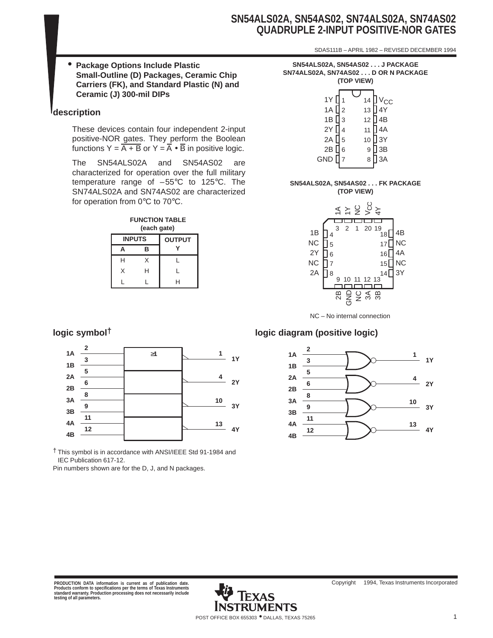SDAS111B – APRIL 1982 – REVISED DECEMBER 1994

• **Package Options Include Plastic Small-Outline (D) Packages, Ceramic Chip Carriers (FK), and Standard Plastic (N) and Ceramic (J) 300-mil DIPs**

# **description**

These devices contain four independent 2-input positive-NOR gates. They perform the Boolean functions  $Y = \overline{A + B}$  or  $Y = \overline{A} \cdot \overline{B}$  in positive logic.

The SN54ALS02A and SN54AS02 are characterized for operation over the full military temperature range of –55°C to 125°C. The SN74ALS02A and SN74AS02 are characterized for operation from 0°C to 70°C.

| <b>FUNCTION TABLE</b><br>(each gate) |   |               |  |  |  |  |  |
|--------------------------------------|---|---------------|--|--|--|--|--|
| <b>INPUTS</b>                        |   | <b>OUTPUT</b> |  |  |  |  |  |
| А                                    | в |               |  |  |  |  |  |
| н                                    | X |               |  |  |  |  |  |
| X                                    | н | L             |  |  |  |  |  |
|                                      |   | ┙             |  |  |  |  |  |

**SN54ALS02A, SN54AS02 . . . J PACKAGE SN74ALS02A, SN74AS02 . . . D OR N PACKAGE (TOP VIEW)**

|                                   |                | ---                   |                              |
|-----------------------------------|----------------|-----------------------|------------------------------|
| 1Y []                             |                | 14                    | ] V <sub>CC</sub><br>[] 4Y   |
| 1A $\prod$ <sub>2</sub><br>1В □ 3 |                | 13<br>12              | $\sqrt{4B}$                  |
| 2Y [4<br>2A $\prod$ <sub>5</sub>  |                | 11<br>10 <sub>1</sub> | $\sqrt{3}$ 4A<br>$\sqrt{3Y}$ |
| 2B <sup>[6</sup><br>GND           | $\overline{7}$ | 9<br>8                | ] 3B<br>3A                   |

#### **SN54ALS02A, SN54AS02 . . . FK PACKAGE (TOP VIEW)**



## **logic symbol† logic diagram (positive logic)**





† This symbol is in accordance with ANSI/IEEE Std 91-1984 and IEC Publication 617-12.

Pin numbers shown are for the D, J, and N packages.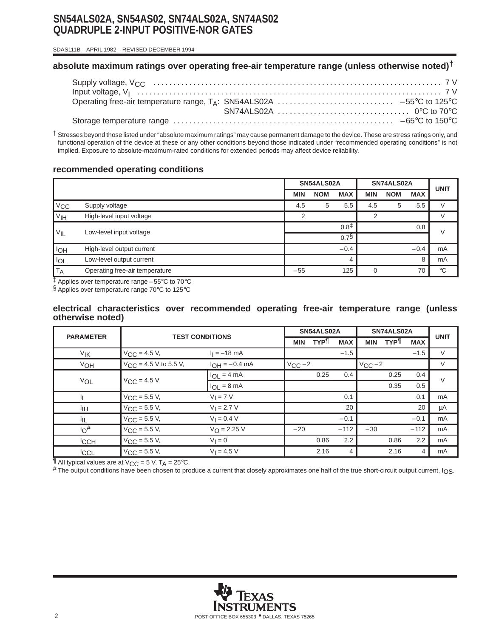SDAS111B – APRIL 1982 – REVISED DECEMBER 1994

## **absolute maximum ratings over operating free-air temperature range (unless otherwise noted)†**

† Stresses beyond those listed under "absolute maximum ratings" may cause permanent damage to the device. These are stress ratings only, and functional operation of the device at these or any other conditions beyond those indicated under "recommended operating conditions" is not implied. Exposure to absolute-maximum-rated conditions for extended periods may affect device reliability.

## **recommended operating conditions**

|                 |                                | SN54ALS02A |            | SN74ALS02A       |            |            | <b>UNIT</b> |             |
|-----------------|--------------------------------|------------|------------|------------------|------------|------------|-------------|-------------|
|                 |                                | <b>MIN</b> | <b>NOM</b> | <b>MAX</b>       | <b>MIN</b> | <b>NOM</b> | <b>MAX</b>  |             |
| V <sub>CC</sub> | Supply voltage                 | 4.5        | 5          | 5.5              | 4.5        | 5          | 5.5         | $\vee$      |
| V <sub>IH</sub> | High-level input voltage       | 2          |            |                  |            |            |             | $\vee$      |
|                 | Low-level input voltage        |            |            | 0.8 <sup>‡</sup> |            |            | 0.8         | $\vee$      |
| $V_{IL}$        |                                |            |            | $0.7$ §          |            |            |             |             |
| <b>IOH</b>      | High-level output current      |            |            | $-0.4$           |            |            | $-0.4$      | mA          |
| <b>IOL</b>      | Low-level output current       |            |            |                  |            |            | 8           | mA          |
| <b>TA</b>       | Operating free-air temperature | $-55$      |            | 125              |            |            | 70          | $^{\circ}C$ |

‡ Applies over temperature range –55°C to 70°C

§ Applies over temperature range 70°C to 125°C

#### **electrical characteristics over recommended operating free-air temperature range (unless otherwise noted)**

| <b>PARAMETER</b> | <b>TEST CONDITIONS</b>     |                         |             | SN54ALS02A |            | SN74ALS02A  | <b>UNIT</b> |            |        |
|------------------|----------------------------|-------------------------|-------------|------------|------------|-------------|-------------|------------|--------|
|                  |                            |                         | <b>MIN</b>  | <b>TYP</b> | <b>MAX</b> | <b>MIN</b>  | <b>TYP</b>  | <b>MAX</b> |        |
| V <sub>IK</sub>  | $V_{\text{CC}} = 4.5 V,$   | $I_1 = -18$ mA          |             |            | $-1.5$     |             |             | $-1.5$     | $\vee$ |
| VOH              | $V_{CC}$ = 4.5 V to 5.5 V, | $I_{OH} = -0.4$ mA      | $V_{CC}$ -2 |            |            | $V_{CC}$ -2 |             |            | $\vee$ |
|                  | $V_{CC}$ = 4.5 V           | $I_{OL} = 4 mA$         |             | 0.25       | 0.4        |             | 0.25        | 0.4        | $\vee$ |
| VOL              |                            | $I_{OL} = 8 \text{ mA}$ |             |            |            |             | 0.35        | 0.5        |        |
|                  | $V_{CC} = 5.5 V,$          | $V_I = 7 V$             |             |            | 0.1        |             |             | 0.1        | mA     |
| ŀıн              | $V_{\text{CC}} = 5.5 V,$   | $V_1 = 2.7 V$           |             |            | 20         |             |             | 20         | μA     |
| IIL.             | $V_{\text{CC}} = 5.5 V,$   | $V_1 = 0.4 V$           |             |            | $-0.1$     |             |             | $-0.1$     | mA     |
| $10^{#}$         | $V_{\text{CC}} = 5.5 V,$   | $V_{\Omega} = 2.25 V$   | $-20$       |            | $-112$     | $-30$       |             | $-112$     | mA     |
| <sup>I</sup> CCH | $V_{\text{CC}} = 5.5 V,$   | $V_1 = 0$               |             | 0.86       | 2.2        |             | 0.86        | 2.2        | mA     |
| <b>CCL</b>       | $V_{\text{CC}} = 5.5 V,$   | $V_1 = 4.5 V$           |             | 2.16       | 4          |             | 2.16        | 4          | mA     |

 $\P$  All typical values are at  $V_{CC} = 5$  V, T<sub>A</sub> = 25°C.

# The output conditions have been chosen to produce a current that closely approximates one half of the true short-circuit output current, I<sub>OS</sub>.

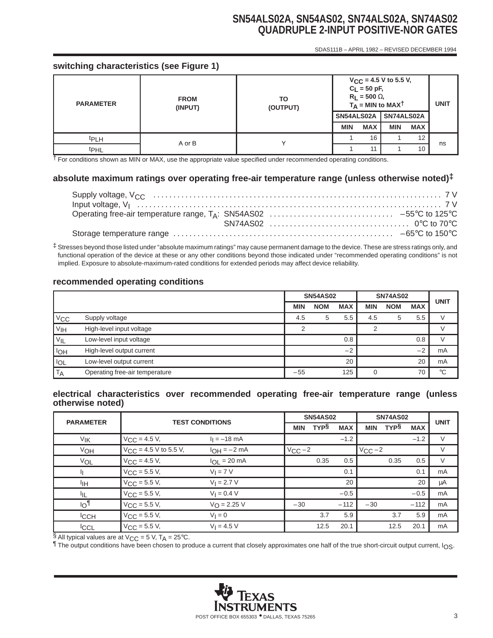SDAS111B – APRIL 1982 – REVISED DECEMBER 1994

# **switching characteristics (see Figure 1)**

| <b>PARAMETER</b> | <b>FROM</b><br>(INPUT) | TO<br>(OUTPUT) | $V_{CC}$ = 4.5 V to 5.5 V,<br>$C_L = 50$ pF,<br>$R_L$ = 500 $\Omega$ ,<br>$T_A$ = MIN to MAXT | <b>UNIT</b> |            |            |    |
|------------------|------------------------|----------------|-----------------------------------------------------------------------------------------------|-------------|------------|------------|----|
|                  |                        |                | SN54ALS02A                                                                                    |             | SN74ALS02A |            |    |
|                  |                        |                | <b>MIN</b>                                                                                    | <b>MAX</b>  | <b>MIN</b> | <b>MAX</b> |    |
| <sup>t</sup> PLH | A or B                 |                |                                                                                               | 16          |            | 12         |    |
| t <sub>PHL</sub> |                        |                |                                                                                               | 11          |            | 10         | ns |

† For conditions shown as MIN or MAX, use the appropriate value specified under recommended operating conditions.

#### **absolute maximum ratings over operating free-air temperature range (unless otherwise noted)‡**

‡ Stresses beyond those listed under "absolute maximum ratings" may cause permanent damage to the device. These are stress ratings only, and functional operation of the device at these or any other conditions beyond those indicated under "recommended operating conditions" is not implied. Exposure to absolute-maximum-rated conditions for extended periods may affect device reliability.

### **recommended operating conditions**

|                 |                                | <b>SN54AS02</b> |            | <b>SN74AS02</b> | <b>UNIT</b> |            |            |             |
|-----------------|--------------------------------|-----------------|------------|-----------------|-------------|------------|------------|-------------|
|                 |                                | <b>MIN</b>      | <b>NOM</b> | <b>MAX</b>      | <b>MIN</b>  | <b>NOM</b> | <b>MAX</b> |             |
| $V_{\rm CC}$    | Supply voltage                 | 4.5             | 5          | 5.5             | 4.5         | 5          | 5.5        |             |
| V <sub>IH</sub> | High-level input voltage       |                 |            |                 |             |            |            |             |
| $V_{IL}$        | Low-level input voltage        |                 |            | 0.8             |             |            | 0.8        |             |
| <b>IOH</b>      | High-level output current      |                 |            | $-2$            |             |            | $-2$       | mA          |
| <b>IOL</b>      | Low-level output current       |                 |            | 20              |             |            | 20         | mA          |
| T <sub>A</sub>  | Operating free-air temperature | $-55$           |            | 125             | ი           |            | 70         | $^{\circ}C$ |

#### **electrical characteristics over recommended operating free-air temperature range (unless otherwise noted)**

|                  | <b>TEST CONDITIONS</b><br><b>PARAMETER</b> |                         |             | <b>SN54AS02</b> |            |             | <b>SN74AS02</b> |            |             |  |
|------------------|--------------------------------------------|-------------------------|-------------|-----------------|------------|-------------|-----------------|------------|-------------|--|
|                  |                                            |                         | <b>MIN</b>  | <b>TYPS</b>     | <b>MAX</b> | <b>MIN</b>  | <b>TYPS</b>     | <b>MAX</b> | <b>UNIT</b> |  |
| V <sub>IK</sub>  | $V_{\text{CC}} = 4.5 V,$                   | $I_1 = -18$ mA          |             |                 | $-1.2$     |             |                 | $-1.2$     | $\vee$      |  |
| VOH              | $V_{CC}$ = 4.5 V to 5.5 V,                 | $I_{OH} = -2 mA$        | $V_{CC}$ -2 |                 |            | $V_{CC}$ -2 |                 |            | V           |  |
| VOL              | $V_{\text{CC}} = 4.5 V,$                   | $I_{OL}$ = 20 mA        |             | 0.35            | 0.5        |             | 0.35            | 0.5        | $\vee$      |  |
|                  | $V_{\text{CC}} = 5.5 V,$                   | $V_I = 7 V$             |             |                 | 0.1        |             |                 | 0.1        | mA          |  |
| ŀщ.              | $V_{\text{CC}} = 5.5 V,$                   | $V_1 = 2.7 V$           |             |                 | 20         |             |                 | 20         | μA          |  |
| III.             | $V_{\text{CC}} = 5.5 V,$                   | $V_1 = 0.4 V$           |             |                 | $-0.5$     |             |                 | $-0.5$     | mA          |  |
| $\overline{10}$  | $V_{\text{CC}} = 5.5 V,$                   | $V_{\text{O}} = 2.25 V$ | $-30$       |                 | $-112$     | $-30$       |                 | $-112$     | mA          |  |
| <sup>I</sup> CCH | $V_{CC}$ = 5.5 V,                          | $V_1 = 0$               |             | 3.7             | 5.9        |             | 3.7             | 5.9        | mA          |  |
| <b>ICCL</b>      | $V_{\text{CC}} = 5.5 V,$                   | $V_1 = 4.5 V$           |             | 12.5            | 20.1       |             | 12.5            | 20.1       | mA          |  |

§ All typical values are at  $V_{CC} = 5$  V,  $T_A = 25$ °C.

The output conditions have been chosen to produce a current that closely approximates one half of the true short-circuit output current,  $I_{OS}$ .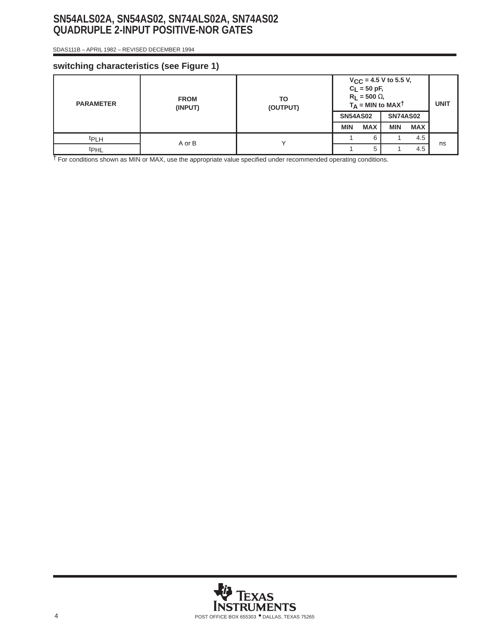SDAS111B – APRIL 1982 – REVISED DECEMBER 1994

## **switching characteristics (see Figure 1)**

| <b>PARAMETER</b> | <b>FROM</b><br>(INPUT) | TO<br>(OUTPUT) | $V_{CC}$ = 4.5 V to 5.5 V,<br>$C_L = 50$ pF,<br>$R_L$ = 500 $\Omega$ ,<br>$T_A$ = MIN to MAXT | <b>UNIT</b> |                 |            |    |
|------------------|------------------------|----------------|-----------------------------------------------------------------------------------------------|-------------|-----------------|------------|----|
|                  |                        |                | <b>SN54AS02</b>                                                                               |             | <b>SN74AS02</b> |            |    |
|                  |                        |                | <b>MIN</b>                                                                                    | <b>MAX</b>  | <b>MIN</b>      | <b>MAX</b> |    |
| <sup>t</sup> PLH | A or B                 |                |                                                                                               | 6           |                 | 4.5        | ns |
| t <sub>PHL</sub> |                        |                |                                                                                               | 5           |                 | 4.5        |    |

† For conditions shown as MIN or MAX, use the appropriate value specified under recommended operating conditions.